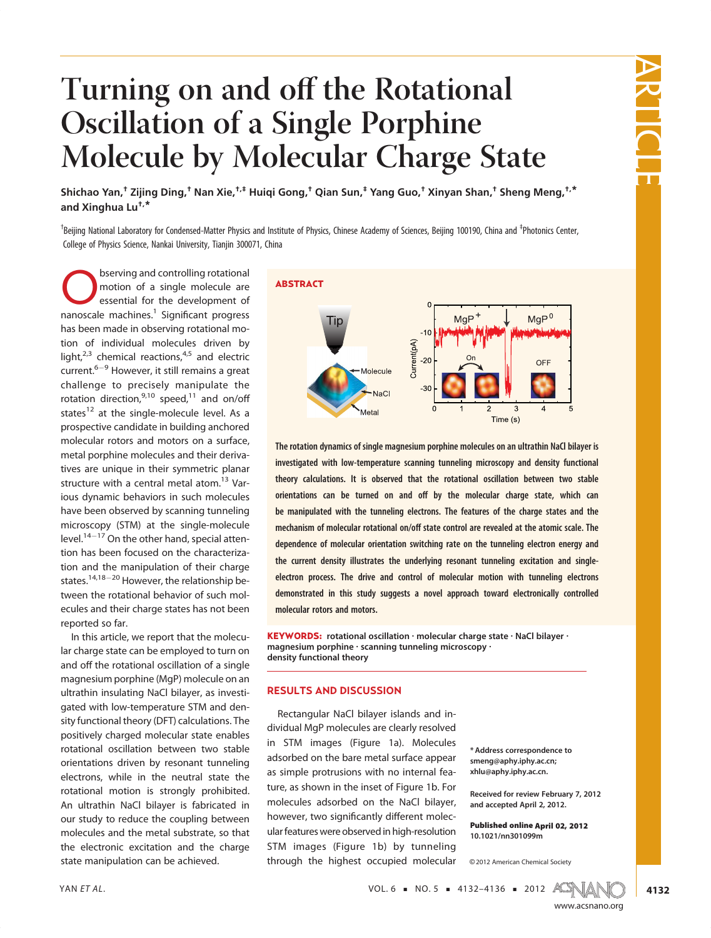

# Turning on and off the Rotational Oscillation of a Single Porphine Molecule by Molecular Charge State

Shichao Yan,† Zijing Ding,† Nan Xie,†,‡ Huiqi Gong,† Qian Sun,‡ Yang Guo,† Xinyan Shan,† Sheng Meng,†,\* and Xinghua Lu $^{\dagger,*}$ 

<sup>†</sup>Beijing National Laboratory for Condensed-Matter Physics and Institute of Physics, Chinese Academy of Sciences, Beijing 100190, China and <sup>‡</sup>Photonics Center, College of Physics Science, Nankai University, Tianjin 300071, China

bserving and controlling rotational<br>motion of a single molecule are<br>essential for the development of motion of a single molecule are essential for the development of nanoscale machines.<sup>1</sup> Significant progress has been made in observing rotational motion of individual molecules driven by light, $2,3$  chemical reactions, $4,5$  and electric current. $6-9$  However, it still remains a great challenge to precisely manipulate the rotation direction, $9,10$  speed, $11$  and on/off states $12$  at the single-molecule level. As a prospective candidate in building anchored molecular rotors and motors on a surface, metal porphine molecules and their derivatives are unique in their symmetric planar structure with a central metal atom.<sup>13</sup> Various dynamic behaviors in such molecules have been observed by scanning tunneling microscopy (STM) at the single-molecule level. $14-17$  On the other hand, special attention has been focused on the characterization and the manipulation of their charge states.<sup>14,18-20</sup> However, the relationship between the rotational behavior of such molecules and their charge states has not been reported so far.

In this article, we report that the molecular charge state can be employed to turn on and off the rotational oscillation of a single magnesium porphine (MgP) molecule on an ultrathin insulating NaCl bilayer, as investigated with low-temperature STM and density functional theory (DFT) calculations. The positively charged molecular state enables rotational oscillation between two stable orientations driven by resonant tunneling electrons, while in the neutral state the rotational motion is strongly prohibited. An ultrathin NaCl bilayer is fabricated in our study to reduce the coupling between molecules and the metal substrate, so that the electronic excitation and the charge state manipulation can be achieved.



The rotation dynamics of single magnesium porphine molecules on an ultrathin NaCl bilayer is investigated with low-temperature scanning tunneling microscopy and density functional theory calculations. It is observed that the rotational oscillation between two stable orientations can be turned on and off by the molecular charge state, which can be manipulated with the tunneling electrons. The features of the charge states and the mechanism of molecular rotational on/off state control are revealed at the atomic scale. The dependence of molecular orientation switching rate on the tunneling electron energy and the current density illustrates the underlying resonant tunneling excitation and singleelectron process. The drive and control of molecular motion with tunneling electrons demonstrated in this study suggests a novel approach toward electronically controlled molecular rotors and motors.

KEYWORDS: rotational oscillation · molecular charge state · NaCl bilayer · magnesium porphine · scanning tunneling microscopy · density functional theory

## RESULTS AND DISCUSSION

Rectangular NaCl bilayer islands and individual MgP molecules are clearly resolved in STM images (Figure 1a). Molecules adsorbed on the bare metal surface appear as simple protrusions with no internal feature, as shown in the inset of Figure 1b. For molecules adsorbed on the NaCl bilayer, however, two significantly different molecular features were observed in high-resolution STM images (Figure 1b) by tunneling through the highest occupied molecular

\* Address correspondence to smeng@aphy.iphy.ac.cn; xhlu@aphy.iphy.ac.cn.

Received for review February 7, 2012 and accepted April 2, 2012.

Published online April 02, 2012 10.1021/nn301099m

<sup>C</sup> 2012 American Chemical Society

YAN ET AL.  $VOL. 6 = NO. 5 = 4132-4136 = 2012$   $A C \ .$ 

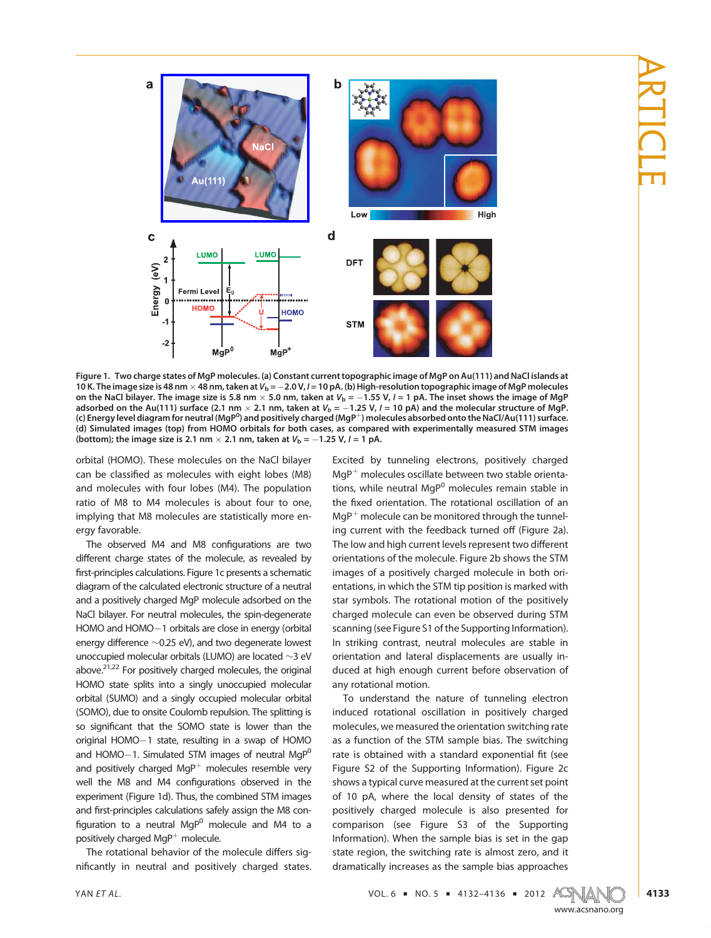

Figure 1. Two charge states of MgP molecules. (a) Constant current topographic image of MgP on Au(111) and NaCl islands at 10 K. The image size is 48 nm  $\times$  48 nm, taken at  $V_b$  =  $-$  2.0 V,  $l$  = 10 pA. (b) High-resolution topographic image of MgP molecules on the NaCl bilayer. The image size is 5.8 nm  $\times$  5.0 nm, taken at  $V_b$  = -1.55 V,  $l$  = 1 pA. The inset shows the image of MgP adsorbed on the Au(111) surface (2.1 nm  $\times$  2.1 nm, taken at  $V_b = -1.25$  V,  $I = 10$  pA) and the molecular structure of MgP. (c) Energy level diagram for neutral (MgP<sup>0</sup>) and positively charged (MgP<sup>+</sup>) molecules absorbed onto the NaCl/Au(111) surface. (d) Simulated images (top) from HOMO orbitals for both cases, as compared with experimentally measured STM images (bottom); the image size is 2.1 nm  $\times$  2.1 nm, taken at  $V_b = -1.25$  V,  $l = 1$  pA.

orbital (HOMO). These molecules on the NaCl bilayer can be classified as molecules with eight lobes (M8) and molecules with four lobes (M4). The population ratio of M8 to M4 molecules is about four to one, implying that M8 molecules are statistically more energy favorable.

The observed M4 and M8 configurations are two different charge states of the molecule, as revealed by first-principles calculations. Figure 1c presents a schematic diagram of the calculated electronic structure of a neutral and a positively charged MgP molecule adsorbed on the NaCl bilayer. For neutral molecules, the spin-degenerate HOMO and HOMO-1 orbitals are close in energy (orbital energy difference <sup>∼</sup>0.25 eV), and two degenerate lowest unoccupied molecular orbitals (LUMO) are located ∼3 eV above.<sup>21,22</sup> For positively charged molecules, the original HOMO state splits into a singly unoccupied molecular orbital (SUMO) and a singly occupied molecular orbital (SOMO), due to onsite Coulomb repulsion. The splitting is so significant that the SOMO state is lower than the original  $HOMO-1$  state, resulting in a swap of  $HOMO$ and HOMO $-1$ . Simulated STM images of neutral MgP<sup>0</sup> and positively charged  $MqP^+$  molecules resemble very well the M8 and M4 configurations observed in the experiment (Figure 1d). Thus, the combined STM images and first-principles calculations safely assign the M8 configuration to a neutral  $Mqp^0$  molecule and M4 to a positively charged  $MgP^+$  molecule.

The rotational behavior of the molecule differs significantly in neutral and positively charged states. Excited by tunneling electrons, positively charged  $MqP<sup>+</sup>$  molecules oscillate between two stable orientations, while neutral MgP<sup>0</sup> molecules remain stable in the fixed orientation. The rotational oscillation of an  $MqP<sup>+</sup>$  molecule can be monitored through the tunneling current with the feedback turned off (Figure 2a). The low and high current levels represent two different orientations of the molecule. Figure 2b shows the STM images of a positively charged molecule in both orientations, in which the STM tip position is marked with star symbols. The rotational motion of the positively charged molecule can even be observed during STM scanning (see Figure S1 of the Supporting Information). In striking contrast, neutral molecules are stable in orientation and lateral displacements are usually induced at high enough current before observation of any rotational motion.

To understand the nature of tunneling electron induced rotational oscillation in positively charged molecules, we measured the orientation switching rate as a function of the STM sample bias. The switching rate is obtained with a standard exponential fit (see Figure S2 of the Supporting Information). Figure 2c shows a typical curve measured at the current set point of 10 pA, where the local density of states of the positively charged molecule is also presented for comparison (see Figure S3 of the Supporting Information). When the sample bias is set in the gap state region, the switching rate is almost zero, and it dramatically increases as the sample bias approaches

YAN ET AL. VOL. 6  $\blacksquare$  NO. 5  $\blacksquare$  4132–4136  $\blacksquare$  2012 ACWAN

www.acsnano.org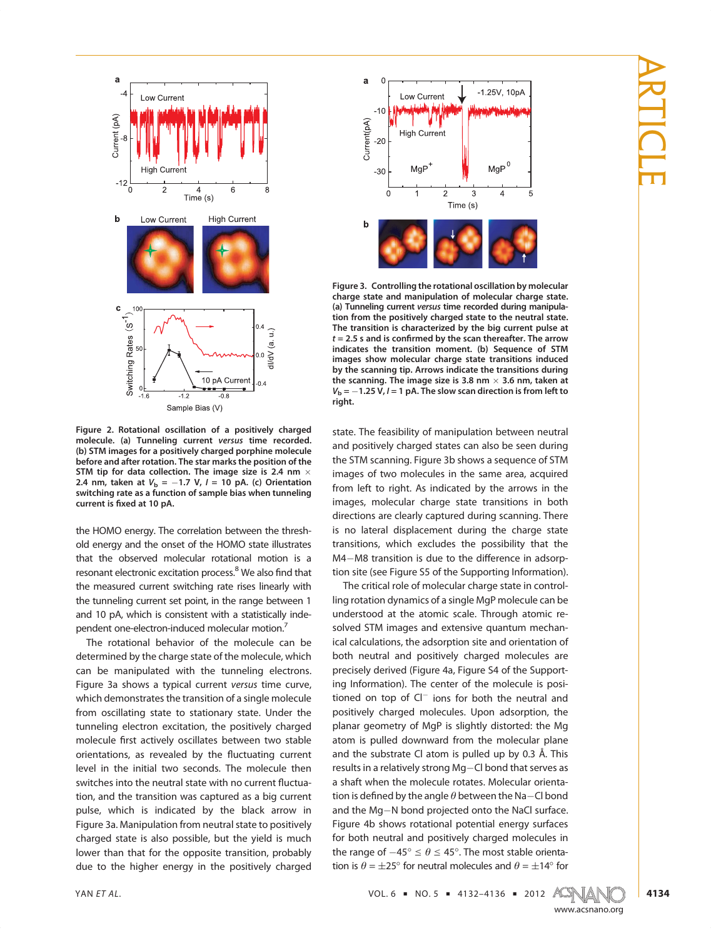



Figure 2. Rotational oscillation of a positively charged molecule. (a) Tunneling current versus time recorded. (b) STM images for a positively charged porphine molecule before and after rotation. The star marks the position of the STM tip for data collection. The image size is 2.4 nm  $\times$ 2.4 nm, taken at  $V_b = -1.7$  V,  $I = 10$  pA. (c) Orientation switching rate as a function of sample bias when tunneling current is fixed at 10 pA.

the HOMO energy. The correlation between the threshold energy and the onset of the HOMO state illustrates that the observed molecular rotational motion is a resonant electronic excitation process.<sup>8</sup> We also find that the measured current switching rate rises linearly with the tunneling current set point, in the range between 1 and 10 pA, which is consistent with a statistically independent one-electron-induced molecular motion.7

The rotational behavior of the molecule can be determined by the charge state of the molecule, which can be manipulated with the tunneling electrons. Figure 3a shows a typical current versus time curve, which demonstrates the transition of a single molecule from oscillating state to stationary state. Under the tunneling electron excitation, the positively charged molecule first actively oscillates between two stable orientations, as revealed by the fluctuating current level in the initial two seconds. The molecule then switches into the neutral state with no current fluctuation, and the transition was captured as a big current pulse, which is indicated by the black arrow in Figure 3a. Manipulation from neutral state to positively charged state is also possible, but the yield is much lower than that for the opposite transition, probably due to the higher energy in the positively charged



Figure 3. Controlling the rotational oscillation by molecular charge state and manipulation of molecular charge state. (a) Tunneling current versus time recorded during manipulation from the positively charged state to the neutral state. The transition is characterized by the big current pulse at  $t = 2.5$  s and is confirmed by the scan thereafter. The arrow indicates the transition moment. (b) Sequence of STM images show molecular charge state transitions induced by the scanning tip. Arrows indicate the transitions during the scanning. The image size is 3.8 nm  $\times$  3.6 nm, taken at  $V_b$  = -1.25 V, I = 1 pA. The slow scan direction is from left to right.

state. The feasibility of manipulation between neutral and positively charged states can also be seen during the STM scanning. Figure 3b shows a sequence of STM images of two molecules in the same area, acquired from left to right. As indicated by the arrows in the images, molecular charge state transitions in both directions are clearly captured during scanning. There is no lateral displacement during the charge state transitions, which excludes the possibility that the M4-M8 transition is due to the difference in adsorption site (see Figure S5 of the Supporting Information).

The critical role of molecular charge state in controlling rotation dynamics of a single MgP molecule can be understood at the atomic scale. Through atomic resolved STM images and extensive quantum mechanical calculations, the adsorption site and orientation of both neutral and positively charged molecules are precisely derived (Figure 4a, Figure S4 of the Supporting Information). The center of the molecule is positioned on top of  $CI^-$  ions for both the neutral and positively charged molecules. Upon adsorption, the planar geometry of MgP is slightly distorted: the Mg atom is pulled downward from the molecular plane and the substrate Cl atom is pulled up by 0.3 Å. This results in a relatively strong Mg-Cl bond that serves as a shaft when the molecule rotates. Molecular orientation is defined by the angle  $\theta$  between the Na-Cl bond and the Mg-N bond projected onto the NaCl surface. Figure 4b shows rotational potential energy surfaces for both neutral and positively charged molecules in the range of  $-45^{\circ} \le \theta \le 45^{\circ}$ . The most stable orientation is  $\theta = \pm 25^{\circ}$  for neutral molecules and  $\theta = \pm 14^{\circ}$  for

YAN ET AL. 2012 ALSO SERVICES TO US ON A VOL. 6  $\blacksquare$  NO. 5  $\blacksquare$  4132–4136  $\blacksquare$  2012 ALSO  $\blacksquare$ 



www.accom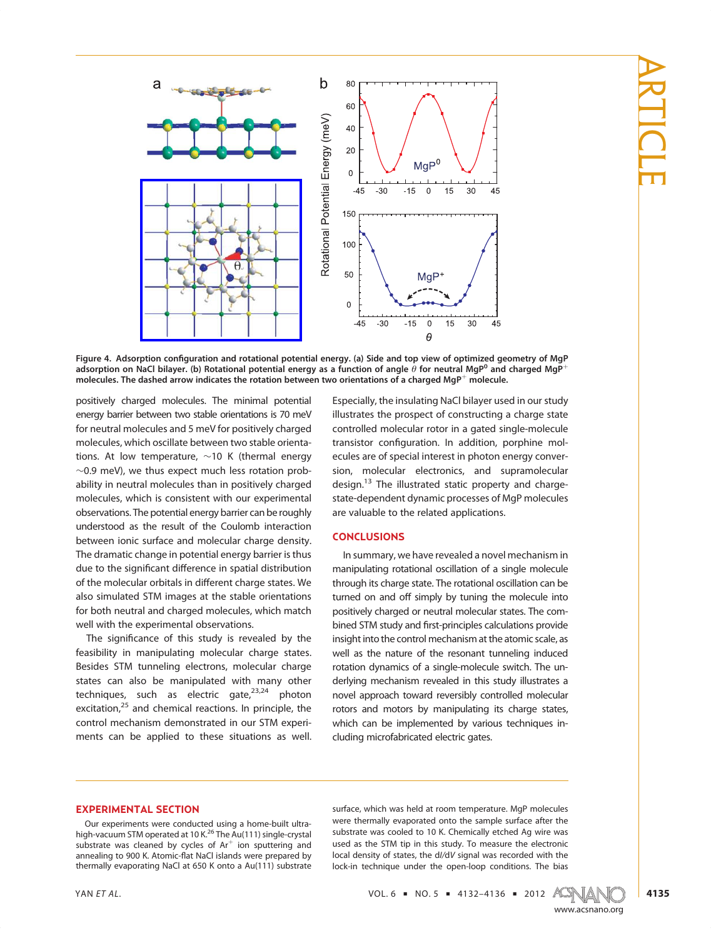

Figure 4. Adsorption configuration and rotational potential energy. (a) Side and top view of optimized geometry of MgP adsorption on NaCl bilayer. (b) Rotational potential energy as a function of angle  $\theta$  for neutral MgP<sup>o</sup> and charged MgP<sup>+</sup> molecules. The dashed arrow indicates the rotation between two orientations of a charged MgP<sup>+</sup> molecule.

positively charged molecules. The minimal potential energy barrier between two stable orientations is 70 meV for neutral molecules and 5 meV for positively charged molecules, which oscillate between two stable orientations. At low temperature, ∼10 K (thermal energy ∼0.9 meV), we thus expect much less rotation probability in neutral molecules than in positively charged molecules, which is consistent with our experimental observations. The potential energy barrier can be roughly understood as the result of the Coulomb interaction between ionic surface and molecular charge density. The dramatic change in potential energy barrier is thus due to the significant difference in spatial distribution of the molecular orbitals in different charge states. We also simulated STM images at the stable orientations for both neutral and charged molecules, which match well with the experimental observations.

The significance of this study is revealed by the feasibility in manipulating molecular charge states. Besides STM tunneling electrons, molecular charge states can also be manipulated with many other techniques, such as electric gate, $23,24$  photon excitation, $25$  and chemical reactions. In principle, the control mechanism demonstrated in our STM experiments can be applied to these situations as well. Especially, the insulating NaCl bilayer used in our study illustrates the prospect of constructing a charge state controlled molecular rotor in a gated single-molecule transistor configuration. In addition, porphine molecules are of special interest in photon energy conversion, molecular electronics, and supramolecular design.<sup>13</sup> The illustrated static property and chargestate-dependent dynamic processes of MgP molecules are valuable to the related applications.

### CONCLUSIONS

In summary, we have revealed a novel mechanism in manipulating rotational oscillation of a single molecule through its charge state. The rotational oscillation can be turned on and off simply by tuning the molecule into positively charged or neutral molecular states. The combined STM study and first-principles calculations provide insight into the control mechanism at the atomic scale, as well as the nature of the resonant tunneling induced rotation dynamics of a single-molecule switch. The underlying mechanism revealed in this study illustrates a novel approach toward reversibly controlled molecular rotors and motors by manipulating its charge states, which can be implemented by various techniques including microfabricated electric gates.

#### EXPERIMENTAL SECTION

Our experiments were conducted using a home-built ultrahigh-vacuum STM operated at 10 K.<sup>26</sup> The Au(111) single-crystal substrate was cleaned by cycles of  $Ar<sup>+</sup>$  ion sputtering and annealing to 900 K. Atomic-flat NaCl islands were prepared by thermally evaporating NaCl at 650 K onto a Au(111) substrate surface, which was held at room temperature. MgP molecules were thermally evaporated onto the sample surface after the substrate was cooled to 10 K. Chemically etched Ag wire was used as the STM tip in this study. To measure the electronic local density of states, the dI/dV signal was recorded with the lock-in technique under the open-loop conditions. The bias

YAN ET AL.  $\blacksquare$  2012 ALS



www.accom